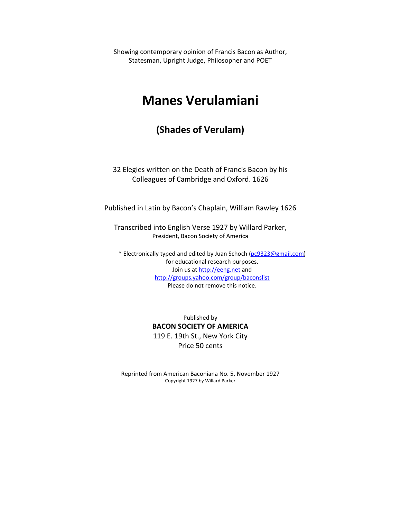Showing contemporary opinion of Francis Bacon as Author, Statesman, Upright Judge, Philosopher and POET

# **Manes Verulamiani**

## **(Shades of Verulam)**

32 Elegies written on the Death of Francis Bacon by his Colleagues of Cambridge and Oxford. 1626

Published in Latin by Bacon's Chaplain, William Rawley 1626

Transcribed into English Verse 1927 by Willard Parker, President, Bacon Society of America

\* Electronically typed and edited by Juan Schoch [\(pc9323@gmail.com\)](mailto:pc9323@gmail.com) for educational research purposes. Join us at [http://eeng.net](http://eeng.net/) and <http://groups.yahoo.com/group/baconslist> Please do not remove this notice.

> Published by **BACON SOCIETY OF AMERICA** 119 E. 19th St., New York City Price 50 cents

Reprinted from American Baconiana No. 5, November 1927 Copyright 1927 by Willard Parker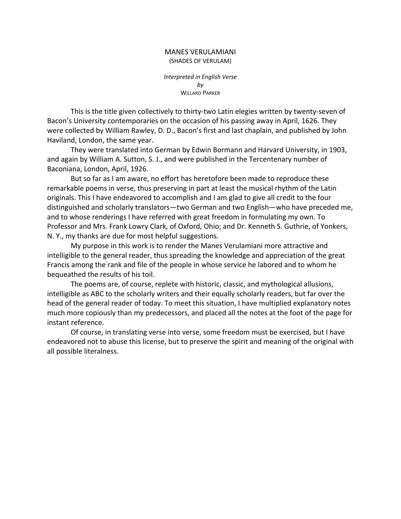#### MANES VERULAMIANI (SHADES OF VERULAM)

*Interpreted in English Verse by* WILLARD PARKER

This is the title given collectively to thirty‐two Latin elegies written by twenty‐seven of Bacon's University contemporaries on the occasion of his passing away in April, 1626. They were collected by William Rawley, D. D., Bacon's first and last chaplain, and published by John Haviland, London, the same year.

They were translated into German by Edwin Bormann and Harvard University, in 1903, and again by William A. Sutton, S. J., and were published in the Tercentenary number of Baconiana, London, April, 1926.

But so far as I am aware, no effort has heretofore been made to reproduce these remarkable poems in verse, thus preserving in part at least the musical rhythm of the Latin originals. This I have endeavored to accomplish and I am glad to give all credit to the four distinguished and scholarly translators—two German and two English—who have preceded me, and to whose renderings I have referred with great freedom in formulating my own. To Professor and Mrs. Frank Lowry Clark, of Oxford, Ohio; and Dr. Kenneth S. Guthrie, of Yonkers, N. Y., my thanks are due for most helpful suggestions.

My purpose in this work is to render the Manes Verulamiani more attractive and intelligible to the general reader, thus spreading the knowledge and appreciation of the great Francis among the rank and file of the people in whose service he labored and to whom he bequeathed the results of his toil.

The poems are, of course, replete with historic, classic, and mythological allusions, intelligible as ABC to the scholarly writers and their equally scholarly readers, but far over the head of the general reader of today. To meet this situation, I have multiplied explanatory notes much more copiously than my predecessors, and placed all the notes at the foot of the page for instant reference.

Of course, in translating verse into verse, some freedom must be exercised, but I have endeavored not to abuse this license, but to preserve the spirit and meaning of the original with all possible literalness.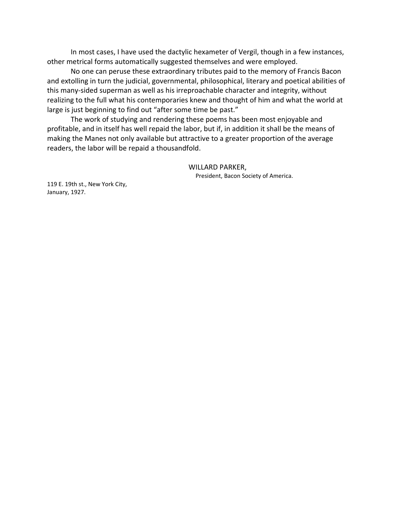In most cases, I have used the dactylic hexameter of Vergil, though in a few instances, other metrical forms automatically suggested themselves and were employed.

No one can peruse these extraordinary tributes paid to the memory of Francis Bacon and extolling in turn the judicial, governmental, philosophical, literary and poetical abilities of this many‐sided superman as well as his irreproachable character and integrity, without realizing to the full what his contemporaries knew and thought of him and what the world at large is just beginning to find out "after some time be past."

The work of studying and rendering these poems has been most enjoyable and profitable, and in itself has well repaid the labor, but if, in addition it shall be the means of making the Manes not only available but attractive to a greater proportion of the average readers, the labor will be repaid a thousandfold.

> WILLARD PARKER, President, Bacon Society of America.

119 E. 19th st., New York City, January, 1927.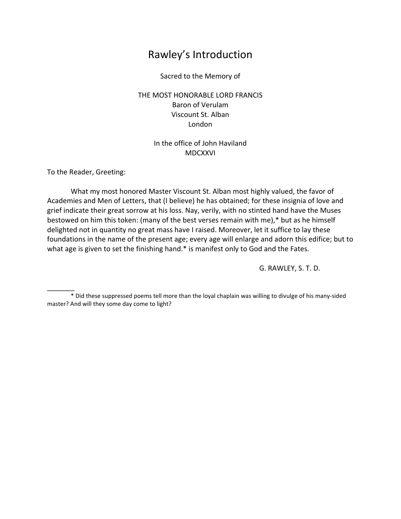# Rawley's Introduction

Sacred to the Memory of

### THE MOST HONORABLE LORD FRANCIS Baron of Verulam Viscount St. Alban London

### In the office of John Haviland MDCXXVI

To the Reader, Greeting:

 $\overline{\phantom{a}}$ 

What my most honored Master Viscount St. Alban most highly valued, the favor of Academies and Men of Letters, that (I believe) he has obtained; for these insignia of love and grief indicate their great sorrow at his loss. Nay, verily, with no stinted hand have the Muses bestowed on him this token: (many of the best verses remain with me),\* but as he himself delighted not in quantity no great mass have I raised. Moreover, let it suffice to lay these foundations in the name of the present age; every age will enlarge and adorn this edifice; but to what age is given to set the finishing hand.\* is manifest only to God and the Fates.

G. RAWLEY, S. T. D.

<sup>\*</sup> Did these suppressed poems tell more than the loyal chaplain was willing to divulge of his many‐sided master? And will they some day come to light?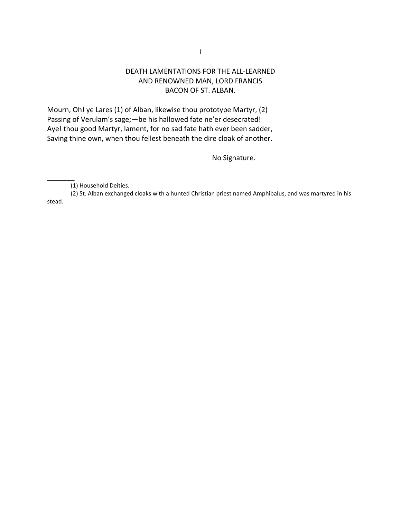### DEATH LAMENTATIONS FOR THE ALL‐LEARNED AND RENOWNED MAN, LORD FRANCIS BACON OF ST. ALBAN.

Mourn, Oh! ye Lares (1) of Alban, likewise thou prototype Martyr, (2) Passing of Verulam's sage;—be his hallowed fate ne'er desecrated! Aye! thou good Martyr, lament, for no sad fate hath ever been sadder, Saving thine own, when thou fellest beneath the dire cloak of another.

No Signature.

 $\overline{\phantom{a}}$ 

(2) St. Alban exchanged cloaks with a hunted Christian priest named Amphibalus, and was martyred in his stead.

<sup>(1)</sup> Household Deities.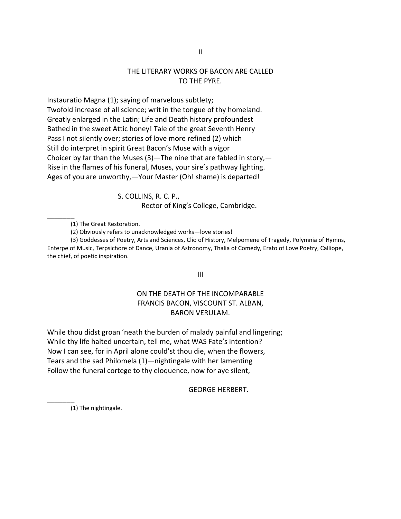### THE LITERARY WORKS OF BACON ARE CALLED TO THE PYRE.

Instauratio Magna (1); saying of marvelous subtlety; Twofold increase of all science; writ in the tongue of thy homeland. Greatly enlarged in the Latin; Life and Death history profoundest Bathed in the sweet Attic honey! Tale of the great Seventh Henry Pass I not silently over; stories of love more refined (2) which Still do interpret in spirit Great Bacon's Muse with a vigor Choicer by far than the Muses  $(3)$ —The nine that are fabled in story,— Rise in the flames of his funeral, Muses, your sire's pathway lighting. Ages of you are unworthy,—Your Master (Oh! shame) is departed!

> S. COLLINS, R. C. P., Rector of King's College, Cambridge.

(1) The Great Restoration.

 $\overline{\phantom{a}}$ 

 $\overline{\phantom{a}}$ 

(3) Goddesses of Poetry, Arts and Sciences, Clio of History, Melpomene of Tragedy, Polymnia of Hymns, Enterpe of Music, Terpsichore of Dance, Urania of Astronomy, Thalia of Comedy, Erato of Love Poetry, Calliope, the chief, of poetic inspiration.

III

### ON THE DEATH OF THE INCOMPARABLE FRANCIS BACON, VISCOUNT ST. ALBAN, BARON VERULAM.

While thou didst groan 'neath the burden of malady painful and lingering; While thy life halted uncertain, tell me, what WAS Fate's intention? Now I can see, for in April alone could'st thou die, when the flowers, Tears and the sad Philomela (1)—nightingale with her lamenting Follow the funeral cortege to thy eloquence, now for aye silent,

GEORGE HERBERT.

(1) The nightingale.

<sup>(2)</sup> Obviously refers to unacknowledged works—love stories!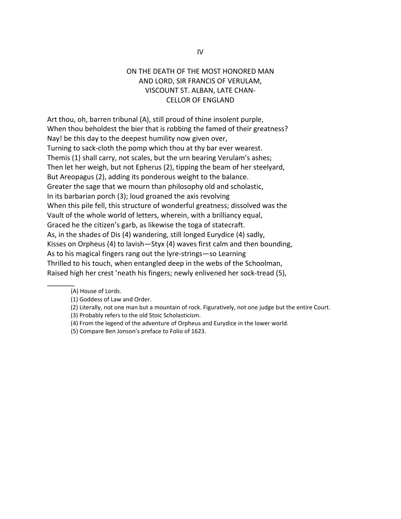### ON THE DEATH OF THE MOST HONORED MAN AND LORD, SIR FRANCIS OF VERULAM, VISCOUNT ST. ALBAN, LATE CHAN‐ CELLOR OF ENGLAND

Art thou, oh, barren tribunal (A), still proud of thine insolent purple, When thou beholdest the bier that is robbing the famed of their greatness? Nay! be this day to the deepest humility now given over, Turning to sack‐cloth the pomp which thou at thy bar ever wearest. Themis (1) shall carry, not scales, but the urn bearing Verulam's ashes; Then let her weigh, but not Epherus (2), tipping the beam of her steelyard, But Areopagus (2), adding its ponderous weight to the balance. Greater the sage that we mourn than philosophy old and scholastic, In its barbarian porch (3); loud groaned the axis revolving When this pile fell, this structure of wonderful greatness; dissolved was the Vault of the whole world of letters, wherein, with a brilliancy equal, Graced he the citizen's garb, as likewise the toga of statecraft. As, in the shades of Dis (4) wandering, still longed Eurydice (4) sadly, Kisses on Orpheus (4) to lavish—Styx (4) waves first calm and then bounding, As to his magical fingers rang out the lyre‐strings—so Learning Thrilled to his touch, when entangled deep in the webs of the Schoolman, Raised high her crest 'neath his fingers; newly enlivened her sock‐tread (5),

- (4) From the legend of the adventure of Orpheus and Eurydice in the lower world.
- (5) Compare Ben Jonson's preface to Folio of 1623.

<sup>(</sup>A) House of Lords.

<sup>(1)</sup> Goddess of Law and Order.

<sup>(2)</sup> Literally, not one man but a mountain of rock. Figuratively, not one judge but the entire Court.

<sup>(3)</sup> Probably refers to the old Stoic Scholasticism.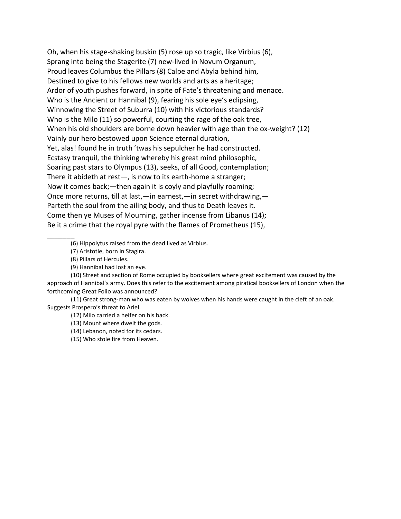Oh, when his stage‐shaking buskin (5) rose up so tragic, like Virbius (6), Sprang into being the Stagerite (7) new‐lived in Novum Organum, Proud leaves Columbus the Pillars (8) Calpe and Abyla behind him, Destined to give to his fellows new worlds and arts as a heritage; Ardor of youth pushes forward, in spite of Fate's threatening and menace. Who is the Ancient or Hannibal (9), fearing his sole eye's eclipsing, Winnowing the Street of Suburra (10) with his victorious standards? Who is the Milo (11) so powerful, courting the rage of the oak tree, When his old shoulders are borne down heavier with age than the ox-weight? (12) Vainly our hero bestowed upon Science eternal duration, Yet, alas! found he in truth 'twas his sepulcher he had constructed. Ecstasy tranquil, the thinking whereby his great mind philosophic, Soaring past stars to Olympus (13), seeks, of all Good, contemplation; There it abideth at rest—, is now to its earth‐home a stranger; Now it comes back;—then again it is coyly and playfully roaming; Once more returns, till at last,—in earnest,—in secret withdrawing,— Parteth the soul from the ailing body, and thus to Death leaves it. Come then ye Muses of Mourning, gather incense from Libanus (14); Be it a crime that the royal pyre with the flames of Prometheus (15),

\_\_\_\_\_\_\_ (6) Hippolytus raised from the dead lived as Virbius.

(7) Aristotle, born in Stagira.

(8) Pillars of Hercules.

(9) Hannibal had lost an eye.

(10) Street and section of Rome occupied by booksellers where great excitement was caused by the approach of Hannibal's army. Does this refer to the excitement among piratical booksellers of London when the forthcoming Great Folio was announced?

(11) Great strong‐man who was eaten by wolves when his hands were caught in the cleft of an oak. Suggests Prospero's threat to Ariel.

(12) Milo carried a heifer on his back.

(13) Mount where dwelt the gods.

(14) Lebanon, noted for its cedars.

(15) Who stole fire from Heaven.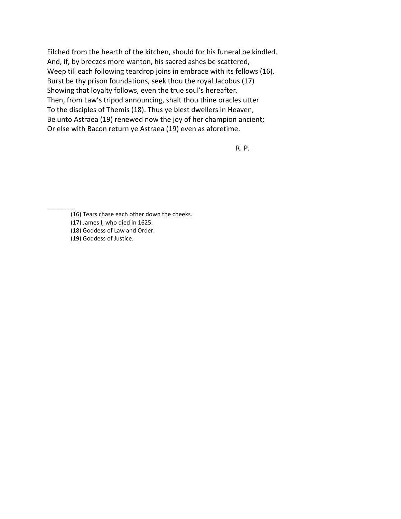Filched from the hearth of the kitchen, should for his funeral be kindled. And, if, by breezes more wanton, his sacred ashes be scattered, Weep till each following teardrop joins in embrace with its fellows (16). Burst be thy prison foundations, seek thou the royal Jacobus (17) Showing that loyalty follows, even the true soul's hereafter. Then, from Law's tripod announcing, shalt thou thine oracles utter To the disciples of Themis (18). Thus ye blest dwellers in Heaven, Be unto Astraea (19) renewed now the joy of her champion ancient; Or else with Bacon return ye Astraea (19) even as aforetime.

R. P.

 $\overline{\phantom{a}}$ 

<sup>(16)</sup> Tears chase each other down the cheeks.

<sup>(17)</sup> James I, who died in 1625.

<sup>(18)</sup> Goddess of Law and Order.

<sup>(19)</sup> Goddess of Justice.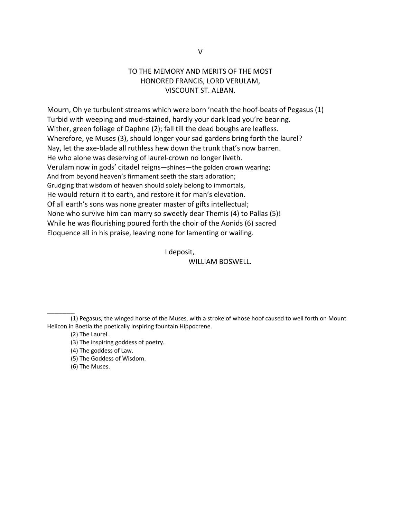### TO THE MEMORY AND MERITS OF THE MOST HONORED FRANCIS, LORD VERULAM, VISCOUNT ST. ALBAN.

Mourn, Oh ye turbulent streams which were born 'neath the hoof-beats of Pegasus (1) Turbid with weeping and mud‐stained, hardly your dark load you're bearing. Wither, green foliage of Daphne (2); fall till the dead boughs are leafless. Wherefore, ye Muses (3), should longer your sad gardens bring forth the laurel? Nay, let the axe‐blade all ruthless hew down the trunk that's now barren. He who alone was deserving of laurel-crown no longer liveth. Verulam now in gods' citadel reigns—shines—the golden crown wearing; And from beyond heaven's firmament seeth the stars adoration; Grudging that wisdom of heaven should solely belong to immortals, He would return it to earth, and restore it for man's elevation. Of all earth's sons was none greater master of gifts intellectual; None who survive him can marry so sweetly dear Themis (4) to Pallas (5)! While he was flourishing poured forth the choir of the Aonids (6) sacred Eloquence all in his praise, leaving none for lamenting or wailing.

I deposit,

WILLIAM BOSWELL.

\_\_\_\_\_\_\_

(5) The Goddess of Wisdom.

(6) The Muses.

<sup>(1)</sup> Pegasus, the winged horse of the Muses, with a stroke of whose hoof caused to well forth on Mount Helicon in Boetia the poetically inspiring fountain Hippocrene.

<sup>(2)</sup> The Laurel.

<sup>(3)</sup> The inspiring goddess of poetry.

<sup>(4)</sup> The goddess of Law.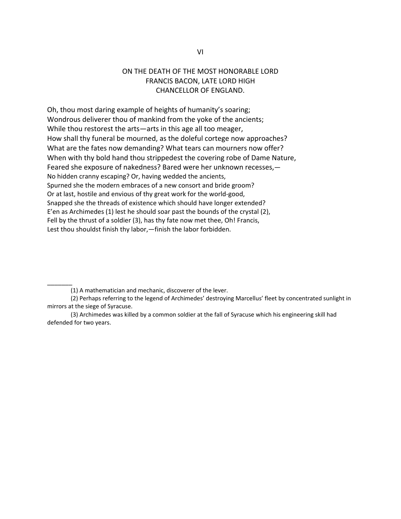### ON THE DEATH OF THE MOST HONORABLE LORD FRANCIS BACON, LATE LORD HIGH CHANCELLOR OF ENGLAND.

Oh, thou most daring example of heights of humanity's soaring; Wondrous deliverer thou of mankind from the yoke of the ancients; While thou restorest the arts—arts in this age all too meager, How shall thy funeral be mourned, as the doleful cortege now approaches? What are the fates now demanding? What tears can mourners now offer? When with thy bold hand thou strippedest the covering robe of Dame Nature, Feared she exposure of nakedness? Bared were her unknown recesses,— No hidden cranny escaping? Or, having wedded the ancients, Spurned she the modern embraces of a new consort and bride groom? Or at last, hostile and envious of thy great work for the world‐good, Snapped she the threads of existence which should have longer extended? E'en as Archimedes (1) lest he should soar past the bounds of the crystal (2), Fell by the thrust of a soldier (3), has thy fate now met thee, Oh! Francis, Lest thou shouldst finish thy labor,—finish the labor forbidden.

 $\overline{\phantom{a}}$ 

<sup>(1)</sup> A mathematician and mechanic, discoverer of the lever.

<sup>(2)</sup> Perhaps referring to the legend of Archimedes' destroying Marcellus' fleet by concentrated sunlight in mirrors at the siege of Syracuse.

<sup>(3)</sup> Archimedes was killed by a common soldier at the fall of Syracuse which his engineering skill had defended for two years.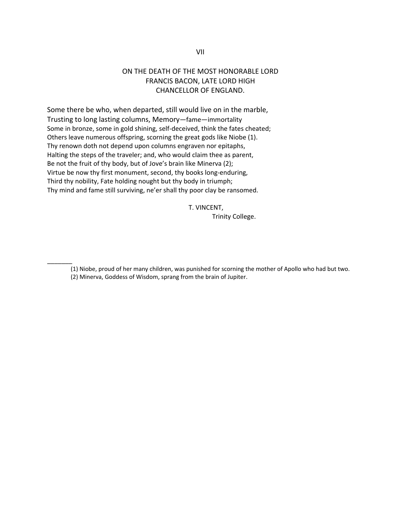### ON THE DEATH OF THE MOST HONORABLE LORD FRANCIS BACON, LATE LORD HIGH CHANCELLOR OF ENGLAND.

Some there be who, when departed, still would live on in the marble, Trusting to long lasting columns, Memory—fame—immortality Some in bronze, some in gold shining, self-deceived, think the fates cheated; Others leave numerous offspring, scorning the great gods like Niobe (1). Thy renown doth not depend upon columns engraven nor epitaphs, Halting the steps of the traveler; and, who would claim thee as parent, Be not the fruit of thy body, but of Jove's brain like Minerva (2); Virtue be now thy first monument, second, thy books long‐enduring, Third thy nobility, Fate holding nought but thy body in triumph; Thy mind and fame still surviving, ne'er shall thy poor clay be ransomed.

 $\overline{\phantom{a}}$ 

 T. VINCENT, Trinity College.

(1) Niobe, proud of her many children, was punished for scorning the mother of Apollo who had but two. (2) Minerva, Goddess of Wisdom, sprang from the brain of Jupiter.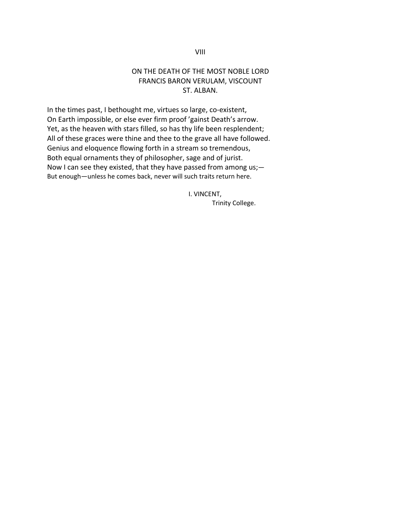### ON THE DEATH OF THE MOST NOBLE LORD FRANCIS BARON VERULAM, VISCOUNT ST. ALBAN.

In the times past, I bethought me, virtues so large, co-existent, On Earth impossible, or else ever firm proof 'gainst Death's arrow. Yet, as the heaven with stars filled, so has thy life been resplendent; All of these graces were thine and thee to the grave all have followed. Genius and eloquence flowing forth in a stream so tremendous, Both equal ornaments they of philosopher, sage and of jurist. Now I can see they existed, that they have passed from among us;— But enough—unless he comes back, never will such traits return here.

> I. VINCENT, Trinity College.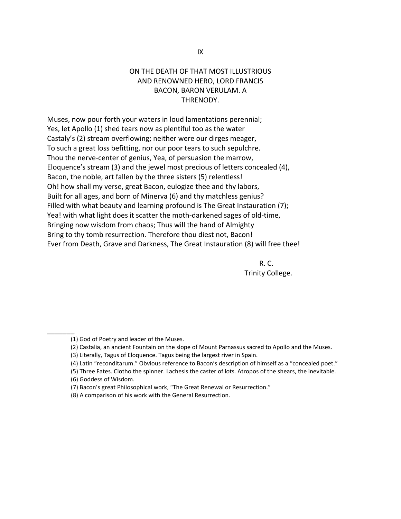### ON THE DEATH OF THAT MOST ILLUSTRIOUS AND RENOWNED HERO, LORD FRANCIS BACON, BARON VERULAM. A THRENODY.

Muses, now pour forth your waters in loud lamentations perennial; Yes, let Apollo (1) shed tears now as plentiful too as the water Castaly's (2) stream overflowing; neither were our dirges meager, To such a great loss befitting, nor our poor tears to such sepulchre. Thou the nerve‐center of genius, Yea, of persuasion the marrow, Eloquence's stream (3) and the jewel most precious of letters concealed (4), Bacon, the noble, art fallen by the three sisters (5) relentless! Oh! how shall my verse, great Bacon, eulogize thee and thy labors, Built for all ages, and born of Minerva (6) and thy matchless genius? Filled with what beauty and learning profound is The Great Instauration (7); Yea! with what light does it scatter the moth‐darkened sages of old‐time, Bringing now wisdom from chaos; Thus will the hand of Almighty Bring to thy tomb resurrection. Therefore thou diest not, Bacon! Ever from Death, Grave and Darkness, The Great Instauration (8) will free thee!

 R. C. Trinity College.

- (2) Castalia, an ancient Fountain on the slope of Mount Parnassus sacred to Apollo and the Muses.
- (3) Literally, Tagus of Eloquence. Tagus being the largest river in Spain.
- (4) Latin "reconditarum." Obvious reference to Bacon's description of himself as a "concealed poet."
- (5) Three Fates. Clotho the spinner. Lachesis the caster of lots. Atropos of the shears, the inevitable.

 $\overline{\phantom{a}}$ 

<sup>(1)</sup> God of Poetry and leader of the Muses.

<sup>(6)</sup> Goddess of Wisdom.

<sup>(7)</sup> Bacon's great Philosophical work, "The Great Renewal or Resurrection."

<sup>(8)</sup> A comparison of his work with the General Resurrection.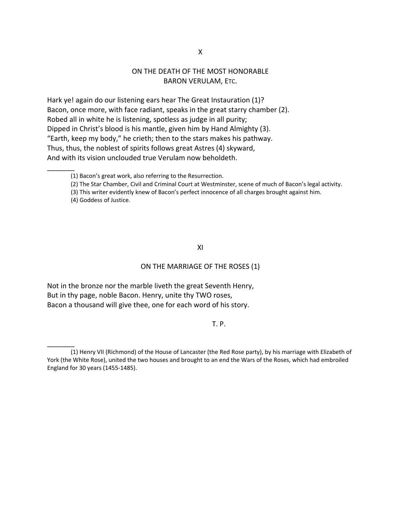### ON THE DEATH OF THE MOST HONORABLE BARON VERULAM, ETC.

Hark ye! again do our listening ears hear The Great Instauration (1)? Bacon, once more, with face radiant, speaks in the great starry chamber (2). Robed all in white he is listening, spotless as judge in all purity; Dipped in Christ's blood is his mantle, given him by Hand Almighty (3). "Earth, keep my body," he crieth; then to the stars makes his pathway. Thus, thus, the noblest of spirits follows great Astres (4) skyward, And with its vision unclouded true Verulam now beholdeth.

(4) Goddess of Justice.

 $\overline{\phantom{a}}$ 

 $\overline{\phantom{a}}$ 

#### XI

#### ON THE MARRIAGE OF THE ROSES (1)

Not in the bronze nor the marble liveth the great Seventh Henry, But in thy page, noble Bacon. Henry, unite thy TWO roses, Bacon a thousand will give thee, one for each word of his story.

T. P. T. P. T. P. T. P. T. P. T. P. T. P. T. P.

<sup>(1)</sup> Bacon's great work, also referring to the Resurrection.

<sup>(2)</sup> The Star Chamber, Civil and Criminal Court at Westminster, scene of much of Bacon's legal activity.

<sup>(3)</sup> This writer evidently knew of Bacon's perfect innocence of all charges brought against him.

<sup>(1)</sup> Henry VII (Richmond) of the House of Lancaster (the Red Rose party), by his marriage with Elizabeth of York (the White Rose), united the two houses and brought to an end the Wars of the Roses, which had embroiled England for 30 years (1455‐1485).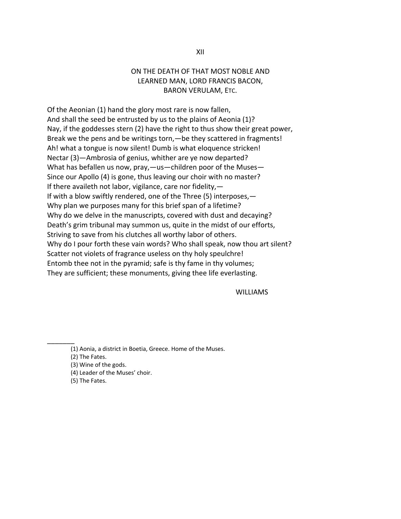### ON THE DEATH OF THAT MOST NOBLE AND LEARNED MAN, LORD FRANCIS BACON, BARON VERULAM, ETC.

Of the Aeonian (1) hand the glory most rare is now fallen, And shall the seed be entrusted by us to the plains of Aeonia (1)? Nay, if the goddesses stern (2) have the right to thus show their great power, Break we the pens and be writings torn,—be they scattered in fragments! Ah! what a tongue is now silent! Dumb is what eloquence stricken! Nectar (3)—Ambrosia of genius, whither are ye now departed? What has befallen us now, pray,—us—children poor of the Muses— Since our Apollo (4) is gone, thus leaving our choir with no master? If there availeth not labor, vigilance, care nor fidelity,— If with a blow swiftly rendered, one of the Three (5) interposes,— Why plan we purposes many for this brief span of a lifetime? Why do we delve in the manuscripts, covered with dust and decaying? Death's grim tribunal may summon us, quite in the midst of our efforts, Striving to save from his clutches all worthy labor of others. Why do I pour forth these vain words? Who shall speak, now thou art silent? Scatter not violets of fragrance useless on thy holy speulchre! Entomb thee not in the pyramid; safe is thy fame in thy volumes; They are sufficient; these monuments, giving thee life everlasting.

WILLIAMS

(1) Aonia, a district in Boetia, Greece. Home of the Muses.

(2) The Fates.

 $\overline{\phantom{a}}$ 

(3) Wine of the gods.

(4) Leader of the Muses' choir.

(5) The Fates.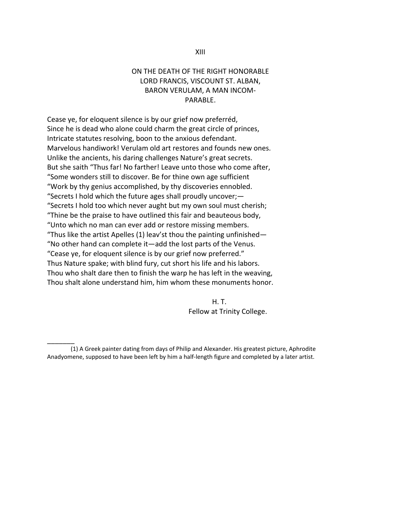### ON THE DEATH OF THE RIGHT HONORABLE LORD FRANCIS, VISCOUNT ST. ALBAN, BARON VERULAM, A MAN INCOM‐ PARABLE.

Cease ye, for eloquent silence is by our grief now preferréd, Since he is dead who alone could charm the great circle of princes, Intricate statutes resolving, boon to the anxious defendant. Marvelous handiwork! Verulam old art restores and founds new ones. Unlike the ancients, his daring challenges Nature's great secrets. But she saith "Thus far! No farther! Leave unto those who come after, "Some wonders still to discover. Be for thine own age sufficient "Work by thy genius accomplished, by thy discoveries ennobled. "Secrets I hold which the future ages shall proudly uncover;— "Secrets I hold too which never aught but my own soul must cherish; "Thine be the praise to have outlined this fair and beauteous body, "Unto which no man can ever add or restore missing members. "Thus like the artist Apelles (1) leav'st thou the painting unfinished— "No other hand can complete it—add the lost parts of the Venus. "Cease ye, for eloquent silence is by our grief now preferred." Thus Nature spake; with blind fury, cut short his life and his labors. Thou who shalt dare then to finish the warp he has left in the weaving, Thou shalt alone understand him, him whom these monuments honor.

 H. T. Fellow at Trinity College.

 $\overline{\phantom{a}}$ 

<sup>(1)</sup> A Greek painter dating from days of Philip and Alexander. His greatest picture, Aphrodite Anadyomene, supposed to have been left by him a half-length figure and completed by a later artist.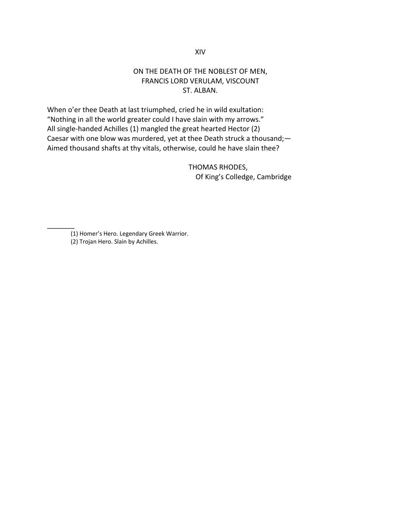### XIV

### ON THE DEATH OF THE NOBLEST OF MEN, FRANCIS LORD VERULAM, VISCOUNT ST. ALBAN.

When o'er thee Death at last triumphed, cried he in wild exultation: "Nothing in all the world greater could I have slain with my arrows." All single‐handed Achilles (1) mangled the great hearted Hector (2) Caesar with one blow was murdered, yet at thee Death struck a thousand;— Aimed thousand shafts at thy vitals, otherwise, could he have slain thee?

> THOMAS RHODES, Of King's Colledge, Cambridge

<sup>(1)</sup> Homer's Hero. Legendary Greek Warrior. (2) Trojan Hero. Slain by Achilles.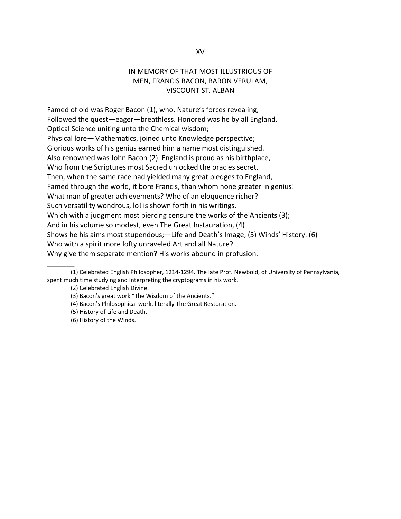### IN MEMORY OF THAT MOST ILLUSTRIOUS OF MEN, FRANCIS BACON, BARON VERULAM, VISCOUNT ST. ALBAN

Famed of old was Roger Bacon (1), who, Nature's forces revealing, Followed the quest—eager—breathless. Honored was he by all England. Optical Science uniting unto the Chemical wisdom; Physical lore—Mathematics, joined unto Knowledge perspective; Glorious works of his genius earned him a name most distinguished. Also renowned was John Bacon (2). England is proud as his birthplace, Who from the Scriptures most Sacred unlocked the oracles secret. Then, when the same race had yielded many great pledges to England, Famed through the world, it bore Francis, than whom none greater in genius! What man of greater achievements? Who of an eloquence richer? Such versatility wondrous, lo! is shown forth in his writings. Which with a judgment most piercing censure the works of the Ancients (3); And in his volume so modest, even The Great Instauration, (4) Shows he his aims most stupendous;—Life and Death's Image, (5) Winds' History. (6) Who with a spirit more lofty unraveled Art and all Nature? Why give them separate mention? His works abound in profusion.

<sup>(1)</sup> Celebrated English Philosopher, 1214‐1294. The late Prof. Newbold, of University of Pennsylvania, spent much time studying and interpreting the cryptograms in his work.

<sup>(2)</sup> Celebrated English Divine.

<sup>(3)</sup> Bacon's great work "The Wisdom of the Ancients."

<sup>(4)</sup> Bacon's Philosophical work, literally The Great Restoration.

<sup>(5)</sup> History of Life and Death.

<sup>(6)</sup> History of the Winds.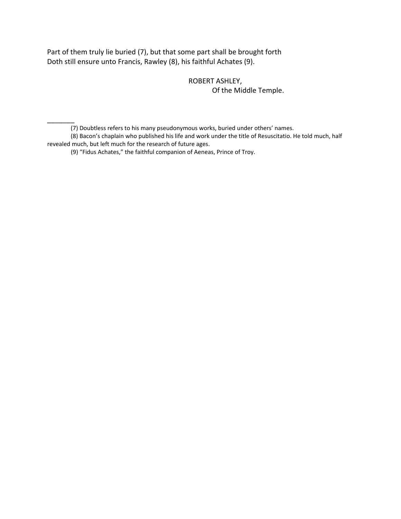Part of them truly lie buried (7), but that some part shall be brought forth Doth still ensure unto Francis, Rawley (8), his faithful Achates (9).

> ROBERT ASHLEY, Of the Middle Temple.

(7) Doubtless refers to his many pseudonymous works, buried under others' names.

(8) Bacon's chaplain who published his life and work under the title of Resuscitatio. He told much, half revealed much, but left much for the research of future ages.

(9) "Fidus Achates," the faithful companion of Aeneas, Prince of Troy.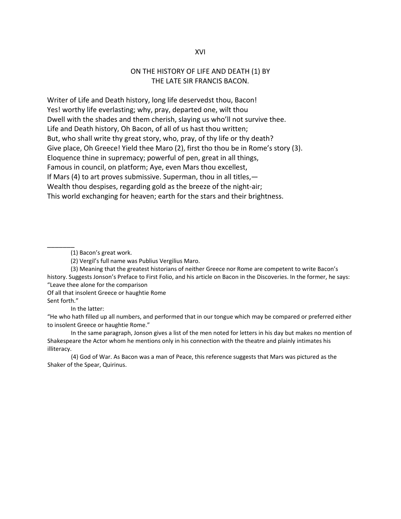#### XVI

### ON THE HISTORY OF LIFE AND DEATH (1) BY THE LATE SIR FRANCIS BACON.

Writer of Life and Death history, long life deservedst thou, Bacon! Yes! worthy life everlasting; why, pray, departed one, wilt thou Dwell with the shades and them cherish, slaying us who'll not survive thee. Life and Death history, Oh Bacon, of all of us hast thou written; But, who shall write thy great story, who, pray, of thy life or thy death? Give place, Oh Greece! Yield thee Maro (2), first tho thou be in Rome's story (3). Eloquence thine in supremacy; powerful of pen, great in all things, Famous in council, on platform; Aye, even Mars thou excellest, If Mars (4) to art proves submissive. Superman, thou in all titles,— Wealth thou despises, regarding gold as the breeze of the night‐air; This world exchanging for heaven; earth for the stars and their brightness.

(1) Bacon's great work.

(3) Meaning that the greatest historians of neither Greece nor Rome are competent to write Bacon's history. Suggests Jonson's Preface to First Folio, and his article on Bacon in the Discoveries. In the former, he says: "Leave thee alone for the comparison

Of all that insolent Greece or haughtie Rome

Sent forth."

\_\_\_\_\_\_\_

In the latter:

"He who hath filled up all numbers, and performed that in our tongue which may be compared or preferred either to insolent Greece or haughtie Rome."

In the same paragraph, Jonson gives a list of the men noted for letters in his day but makes no mention of Shakespeare the Actor whom he mentions only in his connection with the theatre and plainly intimates his illiteracy.

(4) God of War. As Bacon was a man of Peace, this reference suggests that Mars was pictured as the Shaker of the Spear, Quirinus.

<sup>(2)</sup> Vergil's full name was Publius Vergilius Maro.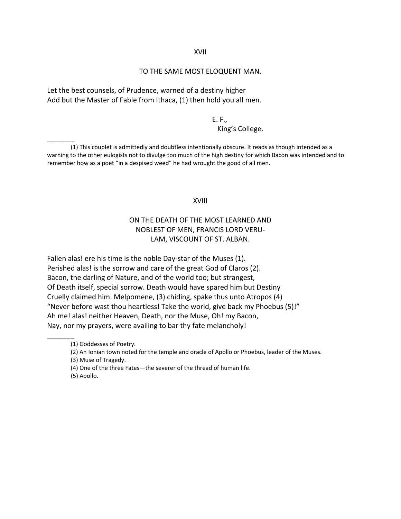#### XVII

#### TO THE SAME MOST ELOQUENT MAN.

Let the best counsels, of Prudence, warned of a destiny higher Add but the Master of Fable from Ithaca, (1) then hold you all men.

#### E. F.,

#### King's College.

(1) This couplet is admittedly and doubtless intentionally obscure. It reads as though intended as a warning to the other eulogists not to divulge too much of the high destiny for which Bacon was intended and to remember how as a poet "in a despised weed" he had wrought the good of all men.

#### XVIII

### ON THE DEATH OF THE MOST LEARNED AND NOBLEST OF MEN, FRANCIS LORD VERU‐ LAM, VISCOUNT OF ST. ALBAN.

Fallen alas! ere his time is the noble Day-star of the Muses (1). Perished alas! is the sorrow and care of the great God of Claros (2). Bacon, the darling of Nature, and of the world too; but strangest, Of Death itself, special sorrow. Death would have spared him but Destiny Cruelly claimed him. Melpomene, (3) chiding, spake thus unto Atropos (4) "Never before wast thou heartless! Take the world, give back my Phoebus (5)!" Ah me! alas! neither Heaven, Death, nor the Muse, Oh! my Bacon, Nay, nor my prayers, were availing to bar thy fate melancholy!

\_\_\_\_\_\_\_

<sup>(1)</sup> Goddesses of Poetry.

<sup>(2)</sup> An Ionian town noted for the temple and oracle of Apollo or Phoebus, leader of the Muses.

<sup>(3)</sup> Muse of Tragedy.

<sup>(4)</sup> One of the three Fates—the severer of the thread of human life.

<sup>(5)</sup> Apollo.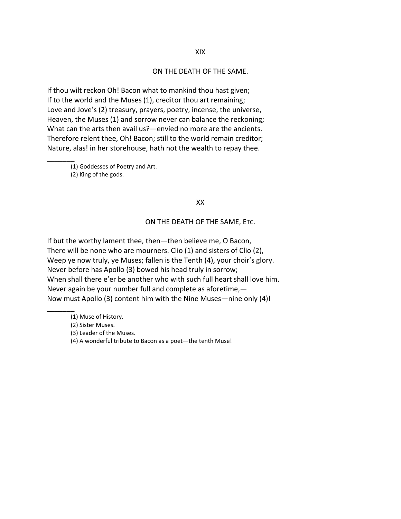#### ON THE DEATH OF THE SAME.

If thou wilt reckon Oh! Bacon what to mankind thou hast given; If to the world and the Muses (1), creditor thou art remaining; Love and Jove's (2) treasury, prayers, poetry, incense, the universe, Heaven, the Muses (1) and sorrow never can balance the reckoning; What can the arts then avail us?—envied no more are the ancients. Therefore relent thee, Oh! Bacon; still to the world remain creditor; Nature, alas! in her storehouse, hath not the wealth to repay thee.

 $\overline{\phantom{a}}$ (1) Goddesses of Poetry and Art. (2) King of the gods.

#### XX

#### ON THE DEATH OF THE SAME, ETC.

If but the worthy lament thee, then—then believe me, O Bacon, There will be none who are mourners. Clio (1) and sisters of Clio (2), Weep ye now truly, ye Muses; fallen is the Tenth (4), your choir's glory. Never before has Apollo (3) bowed his head truly in sorrow; When shall there e'er be another who with such full heart shall love him. Never again be your number full and complete as aforetime,— Now must Apollo (3) content him with the Nine Muses—nine only (4)!

 $\overline{\phantom{a}}$ 

<sup>(1)</sup> Muse of History.

<sup>(2)</sup> Sister Muses.

<sup>(3)</sup> Leader of the Muses.

<sup>(4)</sup> A wonderful tribute to Bacon as a poet—the tenth Muse!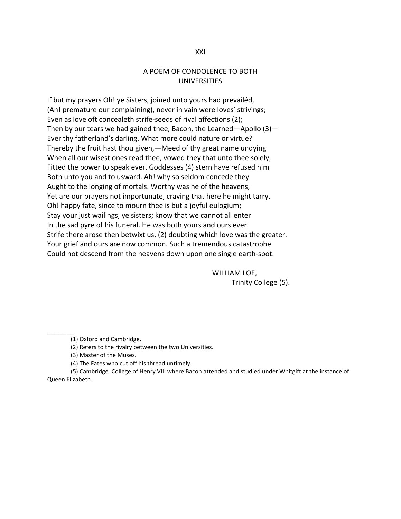### A POEM OF CONDOLENCE TO BOTH UNIVERSITIES

If but my prayers Oh! ye Sisters, joined unto yours had prevailéd, (Ah! premature our complaining), never in vain were loves' strivings; Even as love oft concealeth strife-seeds of rival affections (2); Then by our tears we had gained thee, Bacon, the Learned—Apollo (3)— Ever thy fatherland's darling. What more could nature or virtue? Thereby the fruit hast thou given,—Meed of thy great name undying When all our wisest ones read thee, vowed they that unto thee solely, Fitted the power to speak ever. Goddesses (4) stern have refused him Both unto you and to usward. Ah! why so seldom concede they Aught to the longing of mortals. Worthy was he of the heavens, Yet are our prayers not importunate, craving that here he might tarry. Oh! happy fate, since to mourn thee is but a joyful eulogium; Stay your just wailings, ye sisters; know that we cannot all enter In the sad pyre of his funeral. He was both yours and ours ever. Strife there arose then betwixt us, (2) doubting which love was the greater. Your grief and ours are now common. Such a tremendous catastrophe Could not descend from the heavens down upon one single earth‐spot.

> WILLIAM LOE, Trinity College (5).

(1) Oxford and Cambridge.

 $\overline{\phantom{a}}$ 

(2) Refers to the rivalry between the two Universities.

(3) Master of the Muses.

(4) The Fates who cut off his thread untimely.

(5) Cambridge. College of Henry VIII where Bacon attended and studied under Whitgift at the instance of Queen Elizabeth.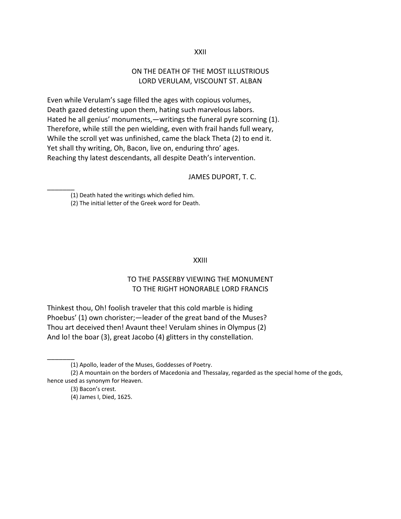XXII

### ON THE DEATH OF THE MOST ILLUSTRIOUS LORD VERULAM, VISCOUNT ST. ALBAN

Even while Verulam's sage filled the ages with copious volumes, Death gazed detesting upon them, hating such marvelous labors. Hated he all genius' monuments,—writings the funeral pyre scorning (1). Therefore, while still the pen wielding, even with frail hands full weary, While the scroll yet was unfinished, came the black Theta (2) to end it. Yet shall thy writing, Oh, Bacon, live on, enduring thro' ages. Reaching thy latest descendants, all despite Death's intervention.

### JAMES DUPORT, T. C.

(1) Death hated the writings which defied him.

 $\overline{\phantom{a}}$ 

 $\overline{\phantom{a}}$ 

(2) The initial letter of the Greek word for Death.

#### XXIII

### TO THE PASSERBY VIEWING THE MONUMENT TO THE RIGHT HONORABLE LORD FRANCIS

Thinkest thou, Oh! foolish traveler that this cold marble is hiding Phoebus' (1) own chorister;—leader of the great band of the Muses? Thou art deceived then! Avaunt thee! Verulam shines in Olympus (2) And lo! the boar (3), great Jacobo (4) glitters in thy constellation.

<sup>(1)</sup> Apollo, leader of the Muses, Goddesses of Poetry.

<sup>(2)</sup> A mountain on the borders of Macedonia and Thessalay, regarded as the special home of the gods, hence used as synonym for Heaven.

<sup>(3)</sup> Bacon's crest.

<sup>(4)</sup> James I, Died, 1625.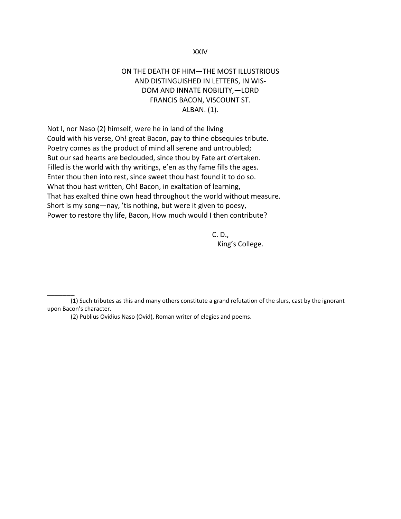#### XXIV

### ON THE DEATH OF HIM—THE MOST ILLUSTRIOUS AND DISTINGUISHED IN LETTERS, IN WIS‐ DOM AND INNATE NOBILITY,—LORD FRANCIS BACON, VISCOUNT ST. ALBAN. (1).

Not I, nor Naso (2) himself, were he in land of the living Could with his verse, Oh! great Bacon, pay to thine obsequies tribute. Poetry comes as the product of mind all serene and untroubled; But our sad hearts are beclouded, since thou by Fate art o'ertaken. Filled is the world with thy writings, e'en as thy fame fills the ages. Enter thou then into rest, since sweet thou hast found it to do so. What thou hast written, Oh! Bacon, in exaltation of learning, That has exalted thine own head throughout the world without measure. Short is my song—nay, 'tis nothing, but were it given to poesy, Power to restore thy life, Bacon, How much would I then contribute?

 C. D., King's College.

 $\overline{\phantom{a}}$ 

<sup>(1)</sup> Such tributes as this and many others constitute a grand refutation of the slurs, cast by the ignorant upon Bacon's character.

<sup>(2)</sup> Publius Ovidius Naso (Ovid), Roman writer of elegies and poems.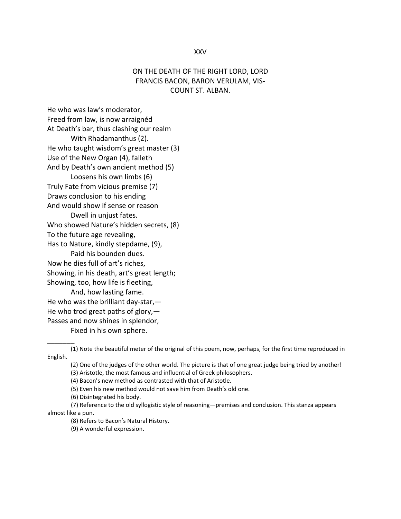#### XXV

### ON THE DEATH OF THE RIGHT LORD, LORD FRANCIS BACON, BARON VERULAM, VIS‐ COUNT ST. ALBAN.

He who was law's moderator, Freed from law, is now arraignéd At Death's bar, thus clashing our realm With Rhadamanthus (2). He who taught wisdom's great master (3) Use of the New Organ (4), falleth And by Death's own ancient method (5) Loosens his own limbs (6) Truly Fate from vicious premise (7) Draws conclusion to his ending And would show if sense or reason Dwell in unjust fates. Who showed Nature's hidden secrets, (8) To the future age revealing, Has to Nature, kindly stepdame, (9), Paid his bounden dues. Now he dies full of art's riches, Showing, in his death, art's great length; Showing, too, how life is fleeting, And, how lasting fame. He who was the brilliant day‐star,— He who trod great paths of glory, $-$ Passes and now shines in splendor, Fixed in his own sphere.

 $\overline{\phantom{a}}$ 

(8) Refers to Bacon's Natural History.

<sup>(1)</sup> Note the beautiful meter of the original of this poem, now, perhaps, for the first time reproduced in English.

<sup>(2)</sup> One of the judges of the other world. The picture is that of one great judge being tried by another!

<sup>(3)</sup> Aristotle, the most famous and influential of Greek philosophers.

<sup>(4)</sup> Bacon's new method as contrasted with that of Aristotle.

<sup>(5)</sup> Even his new method would not save him from Death's old one.

<sup>(6)</sup> Disintegrated his body.

<sup>(7)</sup> Reference to the old syllogistic style of reasoning—premises and conclusion. This stanza appears almost like a pun.

<sup>(9)</sup> A wonderful expression.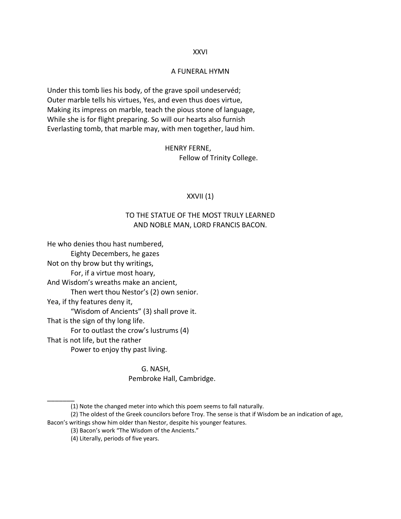#### XXVI

#### A FUNERAL HYMN

Under this tomb lies his body, of the grave spoil undeservéd; Outer marble tells his virtues, Yes, and even thus does virtue, Making its impress on marble, teach the pious stone of language, While she is for flight preparing. So will our hearts also furnish Everlasting tomb, that marble may, with men together, laud him.

> HENRY FERNE, Fellow of Trinity College.

#### XXVII (1)

### TO THE STATUE OF THE MOST TRULY LEARNED AND NOBLE MAN, LORD FRANCIS BACON.

He who denies thou hast numbered, Eighty Decembers, he gazes Not on thy brow but thy writings, For, if a virtue most hoary, And Wisdom's wreaths make an ancient, Then wert thou Nestor's (2) own senior. Yea, if thy features deny it, "Wisdom of Ancients" (3) shall prove it. That is the sign of thy long life. For to outlast the crow's lustrums (4) That is not life, but the rather Power to enjoy thy past living.

> G. NASH, Pembroke Hall, Cambridge.

<sup>(1)</sup> Note the changed meter into which this poem seems to fall naturally.

<sup>(2)</sup> The oldest of the Greek councilors before Troy. The sense is that if Wisdom be an indication of age, Bacon's writings show him older than Nestor, despite his younger features.

<sup>(3)</sup> Bacon's work "The Wisdom of the Ancients."

<sup>(4)</sup> Literally, periods of five years.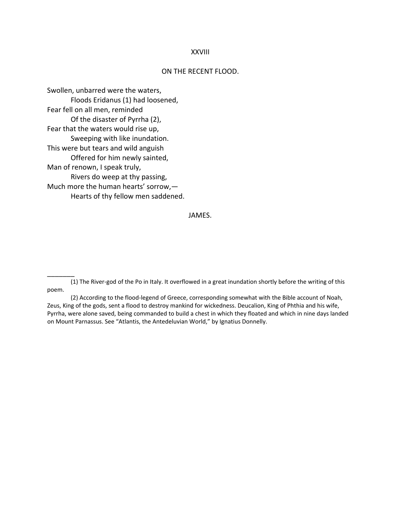#### XXVIII

#### ON THE RECENT FLOOD.

Swollen, unbarred were the waters, Floods Eridanus (1) had loosened, Fear fell on all men, reminded Of the disaster of Pyrrha (2), Fear that the waters would rise up, Sweeping with like inundation. This were but tears and wild anguish Offered for him newly sainted, Man of renown, I speak truly, Rivers do weep at thy passing, Much more the human hearts' sorrow,— Hearts of thy fellow men saddened.

\_\_\_\_\_\_\_

#### JAMES.

<sup>(1)</sup> The River‐god of the Po in Italy. It overflowed in a great inundation shortly before the writing of this poem.

<sup>(2)</sup> According to the flood‐legend of Greece, corresponding somewhat with the Bible account of Noah, Zeus, King of the gods, sent a flood to destroy mankind for wickedness. Deucalion, King of Phthia and his wife, Pyrrha, were alone saved, being commanded to build a chest in which they floated and which in nine days landed on Mount Parnassus. See "Atlantis, the Antedeluvian World," by Ignatius Donnelly.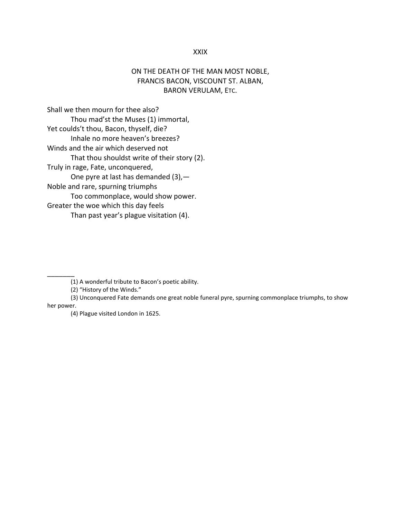#### XXIX

### ON THE DEATH OF THE MAN MOST NOBLE, FRANCIS BACON, VISCOUNT ST. ALBAN, BARON VERULAM, ETC.

Shall we then mourn for thee also? Thou mad'st the Muses (1) immortal, Yet coulds't thou, Bacon, thyself, die? Inhale no more heaven's breezes? Winds and the air which deserved not That thou shouldst write of their story (2). Truly in rage, Fate, unconquered, One pyre at last has demanded (3),— Noble and rare, spurning triumphs Too commonplace, would show power. Greater the woe which this day feels Than past year's plague visitation (4).

(2) "History of the Winds."

\_\_\_\_\_\_\_

(3) Unconquered Fate demands one great noble funeral pyre, spurning commonplace triumphs, to show her power.

(4) Plague visited London in 1625.

<sup>(1)</sup> A wonderful tribute to Bacon's poetic ability.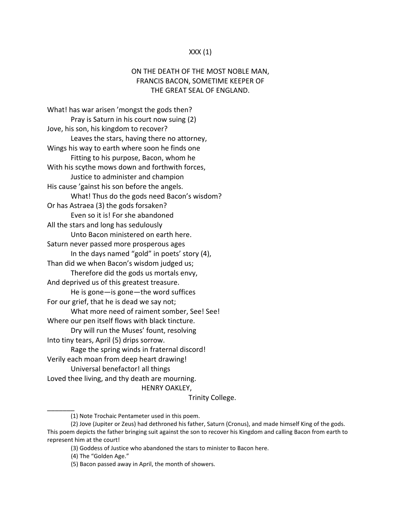#### $XXX(1)$

### ON THE DEATH OF THE MOST NOBLE MAN, FRANCIS BACON, SOMETIME KEEPER OF THE GREAT SEAL OF ENGLAND.

What! has war arisen 'mongst the gods then? Pray is Saturn in his court now suing (2) Jove, his son, his kingdom to recover? Leaves the stars, having there no attorney, Wings his way to earth where soon he finds one Fitting to his purpose, Bacon, whom he With his scythe mows down and forthwith forces, Justice to administer and champion His cause 'gainst his son before the angels. What! Thus do the gods need Bacon's wisdom? Or has Astraea (3) the gods forsaken? Even so it is! For she abandoned All the stars and long has sedulously Unto Bacon ministered on earth here. Saturn never passed more prosperous ages In the days named "gold" in poets' story (4), Than did we when Bacon's wisdom judged us; Therefore did the gods us mortals envy, And deprived us of this greatest treasure. He is gone—is gone—the word suffices For our grief, that he is dead we say not; What more need of raiment somber, See! See! Where our pen itself flows with black tincture. Dry will run the Muses' fount, resolving Into tiny tears, April (5) drips sorrow. Rage the spring winds in fraternal discord! Verily each moan from deep heart drawing! Universal benefactor! all things Loved thee living, and thy death are mourning. HENRY OAKLEY,

Trinity College.

<sup>(1)</sup> Note Trochaic Pentameter used in this poem.

<sup>(2)</sup> Jove (Jupiter or Zeus) had dethroned his father, Saturn (Cronus), and made himself King of the gods. This poem depicts the father bringing suit against the son to recover his Kingdom and calling Bacon from earth to represent him at the court!

<sup>(3)</sup> Goddess of Justice who abandoned the stars to minister to Bacon here.

<sup>(4)</sup> The "Golden Age."

<sup>(5)</sup> Bacon passed away in April, the month of showers.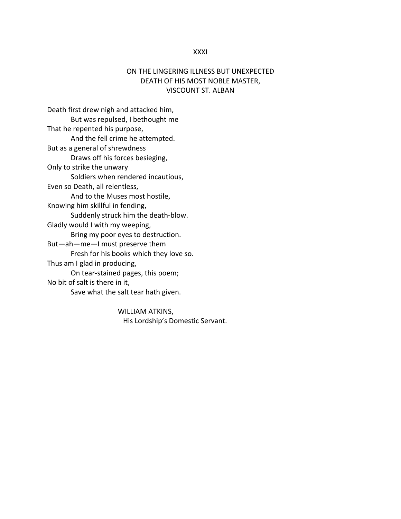#### XXXI

### ON THE LINGERING ILLNESS BUT UNEXPECTED DEATH OF HIS MOST NOBLE MASTER, VISCOUNT ST. ALBAN

Death first drew nigh and attacked him, But was repulsed, I bethought me That he repented his purpose, And the fell crime he attempted. But as a general of shrewdness Draws off his forces besieging, Only to strike the unwary Soldiers when rendered incautious, Even so Death, all relentless, And to the Muses most hostile, Knowing him skillful in fending, Suddenly struck him the death‐blow. Gladly would I with my weeping, Bring my poor eyes to destruction. But—ah—me—I must preserve them Fresh for his books which they love so. Thus am I glad in producing, On tear‐stained pages, this poem; No bit of salt is there in it, Save what the salt tear hath given.

> WILLIAM ATKINS, His Lordship's Domestic Servant.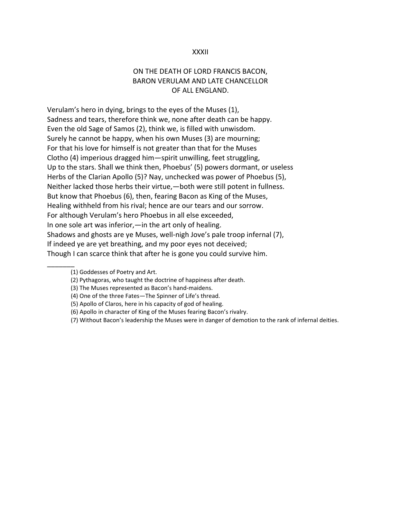#### XXXII

### ON THE DEATH OF LORD FRANCIS BACON, BARON VERULAM AND LATE CHANCELLOR OF ALL ENGLAND.

Verulam's hero in dying, brings to the eyes of the Muses (1), Sadness and tears, therefore think we, none after death can be happy. Even the old Sage of Samos (2), think we, is filled with unwisdom. Surely he cannot be happy, when his own Muses (3) are mourning; For that his love for himself is not greater than that for the Muses Clotho (4) imperious dragged him—spirit unwilling, feet struggling, Up to the stars. Shall we think then, Phoebus' (5) powers dormant, or useless Herbs of the Clarian Apollo (5)? Nay, unchecked was power of Phoebus (5), Neither lacked those herbs their virtue,—both were still potent in fullness. But know that Phoebus (6), then, fearing Bacon as King of the Muses, Healing withheld from his rival; hence are our tears and our sorrow. For although Verulam's hero Phoebus in all else exceeded, In one sole art was inferior,—in the art only of healing. Shadows and ghosts are ye Muses, well‐nigh Jove's pale troop infernal (7), If indeed ye are yet breathing, and my poor eyes not deceived; Though I can scarce think that after he is gone you could survive him.

<sup>(1)</sup> Goddesses of Poetry and Art.

<sup>(2)</sup> Pythagoras, who taught the doctrine of happiness after death.

<sup>(3)</sup> The Muses represented as Bacon's hand‐maidens.

<sup>(4)</sup> One of the three Fates—The Spinner of Life's thread.

<sup>(5)</sup> Apollo of Claros, here in his capacity of god of healing.

<sup>(6)</sup> Apollo in character of King of the Muses fearing Bacon's rivalry.

<sup>(7)</sup> Without Bacon's leadership the Muses were in danger of demotion to the rank of infernal deities.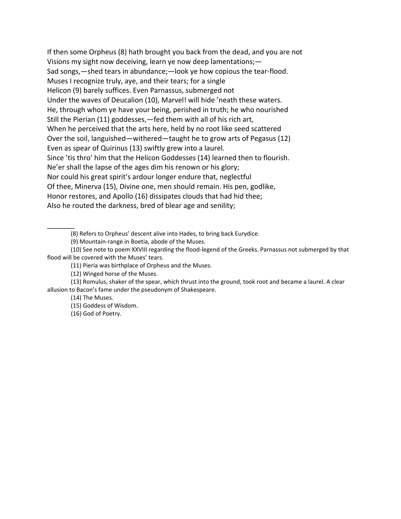If then some Orpheus (8) hath brought you back from the dead, and you are not Visions my sight now deceiving, learn ye now deep lamentations;— Sad songs,—shed tears in abundance;—look ye how copious the tear‐flood. Muses I recognize truly, aye, and their tears; for a single Helicon (9) barely suffices. Even Parnassus, submerged not Under the waves of Deucalion (10), Marvel! will hide 'neath these waters. He, through whom ye have your being, perished in truth; he who nourished Still the Pierian (11) goddesses,—fed them with all of his rich art, When he perceived that the arts here, held by no root like seed scattered Over the soil, languished—withered—taught he to grow arts of Pegasus (12) Even as spear of Quirinus (13) swiftly grew into a laurel. Since 'tis thro' him that the Helicon Goddesses (14) learned then to flourish. Ne'er shall the lapse of the ages dim his renown or his glory; Nor could his great spirit's ardour longer endure that, neglectful Of thee, Minerva (15), Divine one, men should remain. His pen, godlike, Honor restores, and Apollo (16) dissipates clouds that had hid thee; Also he routed the darkness, bred of blear age and senility;

(8) Refers to Orpheus' descent alive into Hades, to bring back Eurydice.

(9) Mountain‐range in Boetia, abode of the Muses.

(10) See note to poem XXVIII regarding the flood‐legend of the Greeks. Parnassus not submerged by that flood will be covered with the Muses' tears.

(11) Pieria was birthplace of Orpheus and the Muses.

(12) Winged horse of the Muses.

(13) Romulus, shaker of the spear, which thrust into the ground, took root and became a laurel. A clear allusion to Bacon's fame under the pseudonym of Shakespeare.

(14) The Muses.

\_\_\_\_\_\_\_

(15) Goddess of Wisdom.

(16) God of Poetry.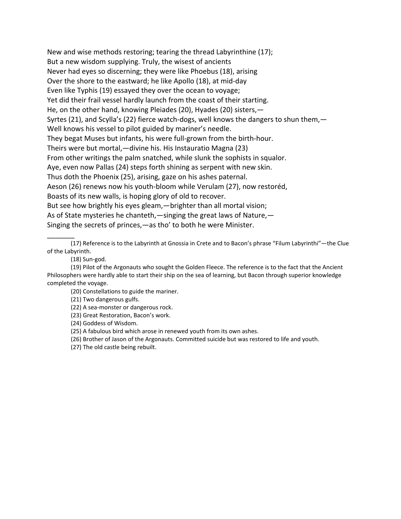New and wise methods restoring; tearing the thread Labyrinthine (17); But a new wisdom supplying. Truly, the wisest of ancients Never had eyes so discerning; they were like Phoebus (18), arising Over the shore to the eastward; he like Apollo (18), at mid‐day Even like Typhis (19) essayed they over the ocean to voyage; Yet did their frail vessel hardly launch from the coast of their starting. He, on the other hand, knowing Pleiades (20), Hyades (20) sisters,— Syrtes (21), and Scylla's (22) fierce watch-dogs, well knows the dangers to shun them, — Well knows his vessel to pilot guided by mariner's needle. They begat Muses but infants, his were full‐grown from the birth‐hour. Theirs were but mortal,—divine his. His Instauratio Magna (23) From other writings the palm snatched, while slunk the sophists in squalor. Aye, even now Pallas (24) steps forth shining as serpent with new skin. Thus doth the Phoenix (25), arising, gaze on his ashes paternal. Aeson (26) renews now his youth‐bloom while Verulam (27), now restoréd, Boasts of its new walls, is hoping glory of old to recover. But see how brightly his eyes gleam,—brighter than all mortal vision; As of State mysteries he chanteth,—singing the great laws of Nature,— Singing the secrets of princes,—as tho' to both he were Minister.

(17) Reference is to the Labyrinth at Gnossia in Crete and to Bacon's phrase "Filum Labyrinthi"—the Clue of the Labyrinth.

(18) Sun‐god.

\_\_\_\_\_\_\_

(19) Pilot of the Argonauts who sought the Golden Fleece. The reference is to the fact that the Ancient Philosophers were hardly able to start their ship on the sea of learning, but Bacon through superior knowledge completed the voyage.

(20) Constellations to guide the mariner.

(21) Two dangerous gulfs.

(22) A sea‐monster or dangerous rock.

(23) Great Restoration, Bacon's work.

(24) Goddess of Wisdom.

(25) A fabulous bird which arose in renewed youth from its own ashes.

(26) Brother of Jason of the Argonauts. Committed suicide but was restored to life and youth.

(27) The old castle being rebuilt.